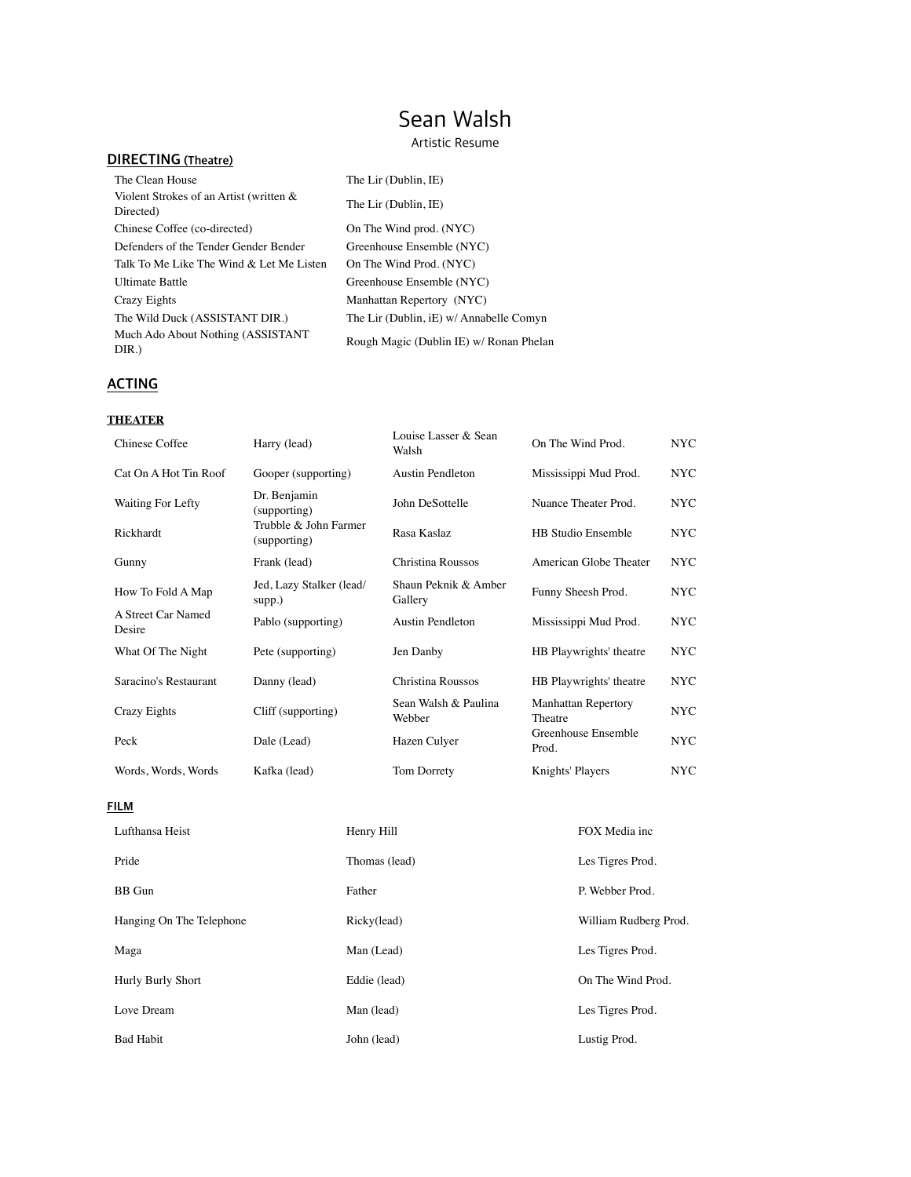# Sean Walsh

Artistic Resume

## **DIRECTING (Theatre)**

| The Clean House                                      | The Lir (Dublin, IE)                    |
|------------------------------------------------------|-----------------------------------------|
| Violent Strokes of an Artist (written &<br>Directed) | The Lir (Dublin, IE)                    |
| Chinese Coffee (co-directed)                         | On The Wind prod. (NYC)                 |
| Defenders of the Tender Gender Bender                | Greenhouse Ensemble (NYC)               |
| Talk To Me Like The Wind & Let Me Listen             | On The Wind Prod. (NYC)                 |
| Ultimate Battle                                      | Greenhouse Ensemble (NYC)               |
| Crazy Eights                                         | Manhattan Repertory (NYC)               |
| The Wild Duck (ASSISTANT DIR.)                       | The Lir (Dublin, iE) w/ Annabelle Comyn |
| Much Ado About Nothing (ASSISTANT<br>DIR.)           | Rough Magic (Dublin IE) w/ Ronan Phelan |

## **ACTING**

#### **THEATER**

| Chinese Coffee               | Harry (lead)                          | Louise Lasser & Sean<br>Walsh   | On The Wind Prod.                     | NYC- |
|------------------------------|---------------------------------------|---------------------------------|---------------------------------------|------|
| Cat On A Hot Tin Roof        | Gooper (supporting)                   | Austin Pendleton                | Mississippi Mud Prod.                 | NYC. |
| Waiting For Lefty            | Dr. Benjamin<br>(supporting)          | John DeSottelle                 | Nuance Theater Prod.                  | NYC. |
| Rickhardt                    | Trubble & John Farmer<br>(supporting) | Rasa Kaslaz                     | <b>HB Studio Ensemble</b>             | NYC. |
| Gunny                        | Frank (lead)                          | Christina Roussos               | American Globe Theater                | NYC. |
| How To Fold A Map            | Jed, Lazy Stalker (lead/<br>supp.)    | Shaun Peknik & Amber<br>Gallery | Funny Sheesh Prod.                    | NYC. |
| A Street Car Named<br>Desire | Pablo (supporting)                    | <b>Austin Pendleton</b>         | Mississippi Mud Prod.                 | NYC. |
| What Of The Night            | Pete (supporting)                     | Jen Danby                       | HB Playwrights' theatre               | NYC. |
| Saracino's Restaurant        | Danny (lead)                          | Christina Roussos               | HB Playwrights' theatre               | NYC. |
| <b>Crazy Eights</b>          | Cliff (supporting)                    | Sean Walsh & Paulina<br>Webber  | <b>Manhattan Repertory</b><br>Theatre | NYC. |
| Peck                         | Dale (Lead)                           | Hazen Culyer                    | Greenhouse Ensemble<br>Prod.          | NYC- |
| Words, Words, Words          | Kafka (lead)                          | Tom Dorrety                     | Knights' Players                      | NYC. |
|                              |                                       |                                 |                                       |      |

**FILM** 

| Lufthansa Heist          | Henry Hill    | FOX Media inc         |
|--------------------------|---------------|-----------------------|
| Pride                    | Thomas (lead) | Les Tigres Prod.      |
| <b>BB</b> Gun            | Father        | P. Webber Prod.       |
| Hanging On The Telephone | Ricky(lead)   | William Rudberg Prod. |
| Maga                     | Man (Lead)    | Les Tigres Prod.      |
| Hurly Burly Short        | Eddie (lead)  | On The Wind Prod.     |
| Love Dream               | Man (lead)    | Les Tigres Prod.      |
| <b>Bad Habit</b>         | John (lead)   | Lustig Prod.          |